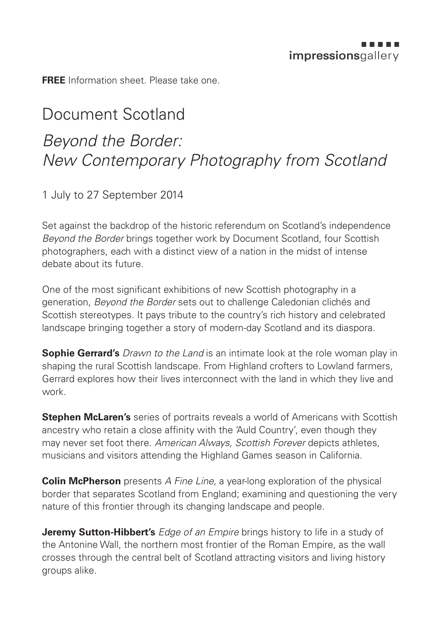**FREE** Information sheet. Please take one.

## Document Scotland *Beyond the Border: New Contemporary Photography from Scotland*

1 July to 27 September 2014

Set against the backdrop of the historic referendum on Scotland's independence *Beyond the Border* brings together work by Document Scotland, four Scottish photographers, each with a distinct view of a nation in the midst of intense debate about its future.

One of the most significant exhibitions of new Scottish photography in a generation, *Beyond the Border* sets out to challenge Caledonian clichés and Scottish stereotypes. It pays tribute to the country's rich history and celebrated landscape bringing together a story of modern-day Scotland and its diaspora.

**Sophie Gerrard's** *Drawn to the Land* is an intimate look at the role woman play in shaping the rural Scottish landscape. From Highland crofters to Lowland farmers, Gerrard explores how their lives interconnect with the land in which they live and work.

**Stephen McLaren's** series of portraits reveals a world of Americans with Scottish ancestry who retain a close affinity with the 'Auld Country', even though they may never set foot there. *American Always, Scottish Forever* depicts athletes, musicians and visitors attending the Highland Games season in California.

**Colin McPherson** presents *A Fine Line*, a year-long exploration of the physical border that separates Scotland from England; examining and questioning the very nature of this frontier through its changing landscape and people.

**Jeremy Sutton-Hibbert's** *Edge of an Empire* brings history to life in a study of the Antonine Wall, the northern most frontier of the Roman Empire, as the wall crosses through the central belt of Scotland attracting visitors and living history groups alike.